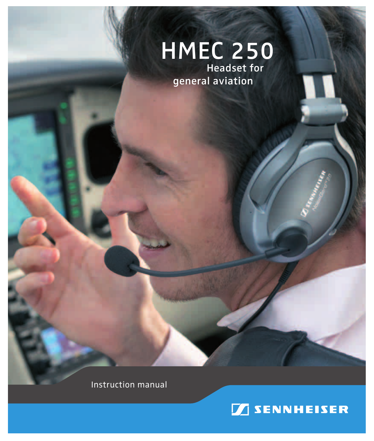# HMEC 250

**Headset for** general aviation

Instruction manual

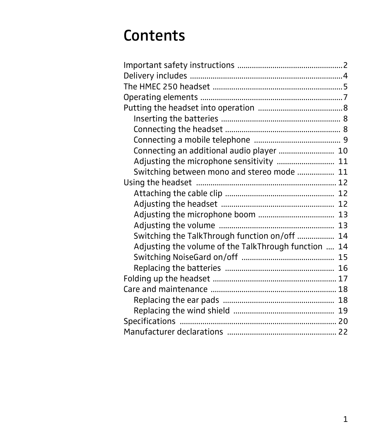### **Contents**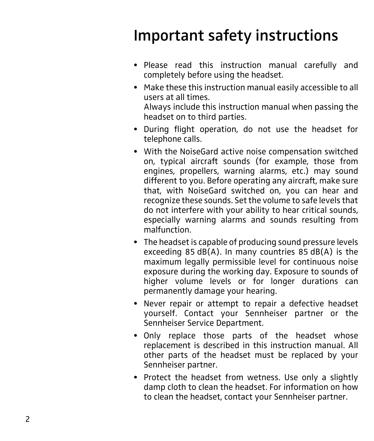### <span id="page-2-0"></span>Important safety instructions

- Please read this instruction manual carefully and completely before using the headset.
- Make these this instruction manual easily accessible to all users at all times. Always include this instruction manual when passing the headset on to third parties.
- During flight operation, do not use the headset for telephone calls.
- With the NoiseGard active noise compensation switched on, typical aircraft sounds (for example, those from engines, propellers, warning alarms, etc.) may sound different to you. Before operating any aircraft, make sure that, with NoiseGard switched on, you can hear and recognize these sounds. Set the volume to safe levels that do not interfere with your ability to hear critical sounds, especially warning alarms and sounds resulting from malfunction.
- The headset is capable of producing sound pressure levels exceeding 85 dB(A). In many countries 85 dB(A) is the maximum legally permissible level for continuous noise exposure during the working day. Exposure to sounds of higher volume levels or for longer durations can permanently damage your hearing.
- Never repair or attempt to repair a defective headset yourself. Contact your Sennheiser partner or the Sennheiser Service Department.
- Only replace those parts of the headset whose replacement is described in this instruction manual. All other parts of the headset must be replaced by your Sennheiser partner.
- Protect the headset from wetness. Use only a slightly damp cloth to clean the headset. For information on how to clean the headset, contact your Sennheiser partner.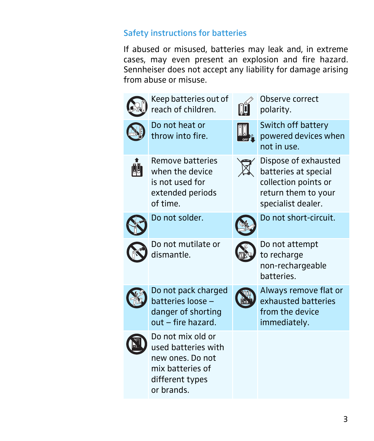### Safety instructions for batteries

If abused or misused, batteries may leak and, in extreme cases, may even present an explosion and fire hazard. Sennheiser does not accept any liability for damage arising from abuse or misuse.



different types or brands.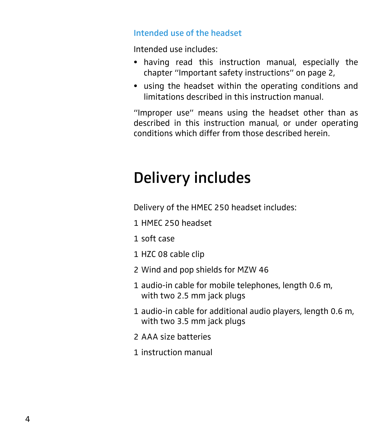#### Intended use of the headset

Intended use includes:

- having read this instruction manual, especially the chapter "Important safety instructions" on page 2,
- using the headset within the operating conditions and limitations described in this instruction manual.

"Improper use" means using the headset other than as described in this instruction manual, or under operating conditions which differ from those described herein.

### <span id="page-4-0"></span>Delivery includes

Delivery of the HMEC 250 headset includes:

- 1 HMEC 250 headset
- 1 soft case
- 1 HZC 08 cable clip
- 2 Wind and pop shields for MZW 46
- 1 audio-in cable for mobile telephones, length 0.6 m, with two 2.5 mm jack plugs
- 1 audio-in cable for additional audio players, length 0.6 m, with two 3.5 mm jack plugs
- 2 AAA size batteries
- 1 instruction manual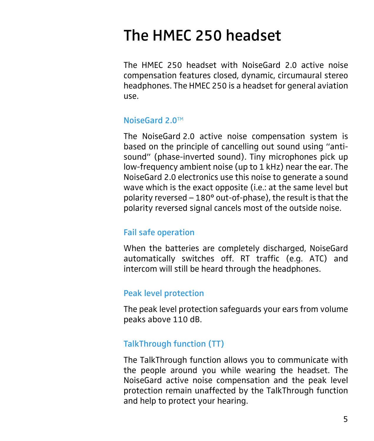### <span id="page-5-0"></span>The HMEC 250 headset

The HMEC 250 headset with NoiseGard 2.0 active noise compensation features closed, dynamic, circumaural stereo headphones. The HMEC 250 is a headset for general aviation use.

#### NoiseGard 2.0TM

The NoiseGard 2.0 active noise compensation system is based on the principle of cancelling out sound using "antisound" (phase-inverted sound). Tiny microphones pick up low-frequency ambient noise (up to 1 kHz) near the ear. The NoiseGard 2.0 electronics use this noise to generate a sound wave which is the exact opposite (i.e.: at the same level but polarity reversed  $-180^\circ$  out-of-phase), the result is that the polarity reversed signal cancels most of the outside noise.

#### Fail safe operation

When the batteries are completely discharged, NoiseGard automatically switches off. RT traffic (e.g. ATC) and intercom will still be heard through the headphones.

#### Peak level protection

The peak level protection safeguards your ears from volume peaks above 110 dB.

#### TalkThrough function (TT)

The TalkThrough function allows you to communicate with the people around you while wearing the headset. The NoiseGard active noise compensation and the peak level protection remain unaffected by the TalkThrough function and help to protect your hearing.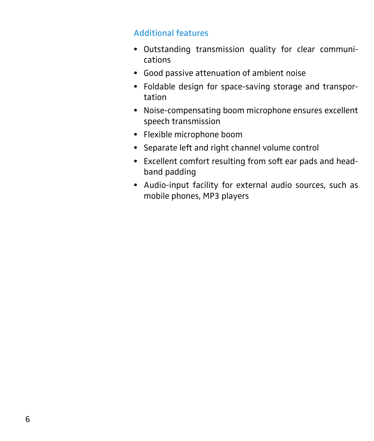### Additional features

- Outstanding transmission quality for clear communications
- U Good passive attenuation of ambient noise
- Foldable design for space-saving storage and transportation
- Noise-compensating boom microphone ensures excellent speech transmission
- Flexible microphone boom
- Separate left and right channel volume control
- Excellent comfort resulting from soft ear pads and headband padding
- Audio-input facility for external audio sources, such as mobile phones, MP3 players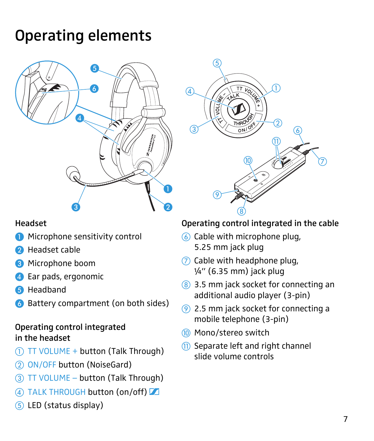### <span id="page-7-0"></span>Operating elements



### Headset

- **I** Microphone sensitivity control
- **2** Headset cable
- **8** Microphone boom
- <span id="page-7-5"></span>4 Ear pads, ergonomic
- **6** Headband
- & Battery compartment (on both sides)

### Operating control integrated in the headset

- <span id="page-7-3"></span>' TT VOLUME + button (Talk Through)
- (2) ON/OFF button (NoiseGard)
- <span id="page-7-4"></span>) TT VOLUME \_ button (Talk Through)
- 4) TALK THROUGH button (on/off)
- <span id="page-7-1"></span> $(5)$  LED (status display)



### Operating control integrated in the cable

- , Cable with microphone plug, 5.25 mm jack plug
- $(7)$  Cable with headphone plug,  $\frac{1}{4}$ " (6.35 mm) jack plug
- 8 3.5 mm jack socket for connecting an additional audio player (3-pin)
- $(9)$  2.5 mm jack socket for connecting a mobile telephone (3-pin)
- 10 Mono/stereo switch
- <span id="page-7-2"></span> $(1)$  Separate left and right channel slide volume controls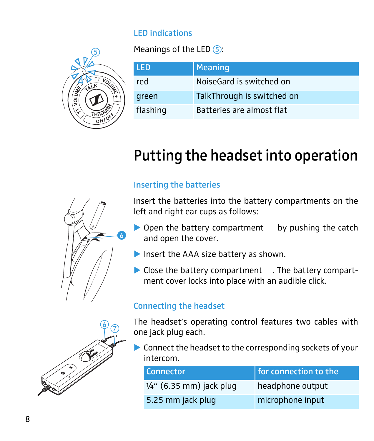### LED indications

 $\circledS$ 

Meanings of the LED  $(5)$ :

| LED.     | <b>Meaning</b>             |
|----------|----------------------------|
| red      | NoiseGard is switched on   |
| green    | TalkThrough is switched on |
| flashing | Batteries are almost flat  |

### Putting the headset into operation

### <span id="page-8-1"></span>Inserting the batteries

Insert the batteries into the battery compartments on the left and right ear cups as follows:

- $\triangleright$  Open the battery compartment by pushing the catch and open the cover.
- $\blacktriangleright$  Insert the AAA size battery as shown.
- Close the battery compartment . The battery compartment cover locks into place with an audible click.

### <span id="page-8-2"></span>Connecting the headset

The headset's operating control features two cables with one jack plug each.

 $\blacktriangleright$  Connect the headset to the corresponding sockets of your intercom.

| Connector                           | for connection to the |
|-------------------------------------|-----------------------|
| $\frac{1}{4}$ " (6.35 mm) jack plug | headphone output      |
| 5.25 mm jack plug                   | microphone input      |

<span id="page-8-0"></span>

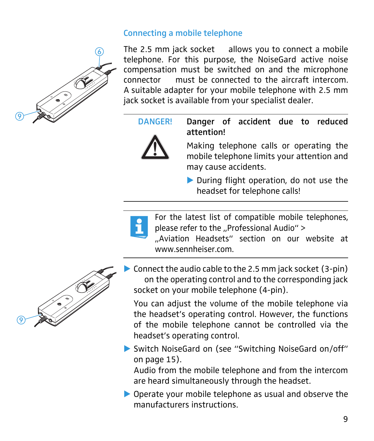### <span id="page-9-0"></span>Connecting a mobile telephone



The 2.5 mm jack socket allows you to connect a mobile telephone. For this purpose, the NoiseGard active noise compensation must be switched on and the microphone connector must be connected to the aircraft intercom. A suitable adapter for your mobile telephone with 2.5 mm jack socket is available from your specialist dealer.



DANGER! Danger of accident due to reduced attention!

> Making telephone calls or operating the mobile telephone limits your attention and may cause accidents.

> **During flight operation, do not use the** headset for telephone calls!

For the latest list of compatible mobile telephones, please refer to the "Professional Audio"  $>$ 

"Aviation Headsets" section on our website at www.sennheiser.com



! Connect the audio cable to the 2.5 mm jack socket (3-pin) on the operating control and to the corresponding jack socket on your mobile telephone (4-pin).

You can adjust the volume of the mobile telephone via the headset's operating control. However, the functions of the mobile telephone cannot be controlled via the headset's operating control.

 $\triangleright$  Switch NoiseGard on (see "Switching NoiseGard on/off" [on page 15\)](#page-15-0).

Audio from the mobile telephone and from the intercom are heard simultaneously through the headset.

 $\triangleright$  Operate your mobile telephone as usual and observe the manufacturers instructions.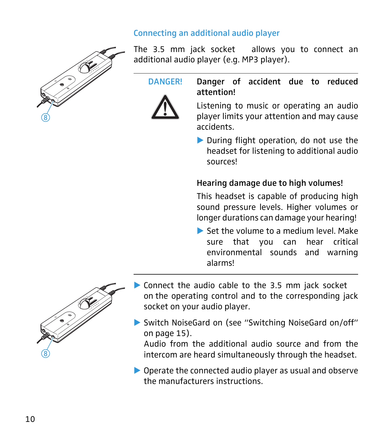### <span id="page-10-0"></span>Connecting an additional audio player



The 3.5 mm jack socket allows you to connect an additional audio player (e.g. MP3 player).



DANGER! Danger of accident due to reduced attention!

> Listening to music or operating an audio player limits your attention and may cause accidents.

> **During flight operation, do not use the** headset for listening to additional audio sources!

#### Hearing damage due to high volumes!

This headset is capable of producing high sound pressure levels. Higher volumes or longer durations can damage your hearing!

! Set the volume to a medium level. Make sure that you can hear critical environmental sounds and warning alarms!



- $\triangleright$  Connect the audio cable to the 3.5 mm jack socket on the operating control and to the corresponding jack socket on your audio player.
- $\triangleright$  Switch NoiseGard on (see "Switching NoiseGard on/off" [on page 15](#page-15-0)).

Audio from the additional audio source and from the intercom are heard simultaneously through the headset.

 $\triangleright$  Operate the connected audio player as usual and observe the manufacturers instructions.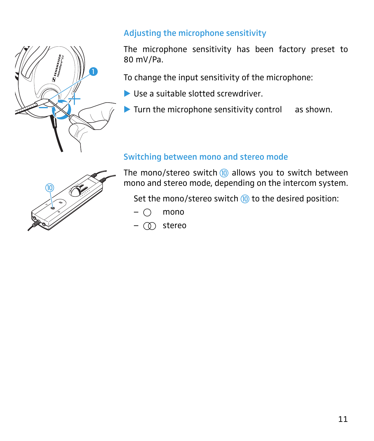

### <span id="page-11-0"></span>Adjusting the microphone sensitivity

The microphone sensitivity has been factory preset to 80 mV/Pa.

To change the input sensitivity of the microphone:

- I Use a suitable slotted screwdriver.
- $\blacktriangleright$  Turn the microphone sensitivity control as shown.

### <span id="page-11-1"></span>Switching between mono and stereo mode

The mono/stereo switch  $(0)$  allows you to switch between mono and stereo mode, depending on the intercom system.

Set the mono/stereo switch  $(0)$  to the desired position:

- $\bigcap$  mono
- $\circledcirc$  stereo

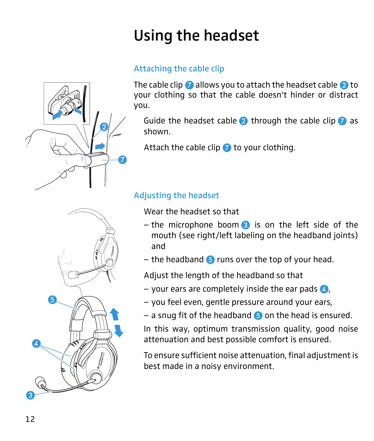## <span id="page-12-0"></span>Using the headset

### <span id="page-12-1"></span>Attaching the cable clip

The cable clip  $\Omega$  allows you to attach the headset cable  $\Omega$  to your clothing so that the cable doesn't hinder or distract you.

Guide the headset cable  $\bullet$  through the cable clip  $\bullet$  as shown.

Attach the cable clip  $\bullet$  to your clothing.

### <span id="page-12-2"></span>Adjusting the headset Wear the headset so that

- the microphone boom  $\odot$  is on the left side of the mouth (see right/left labeling on the headband joints) and
- the headband  $\bullet$  runs over the top of your head.

Adjust the length of the headband so that

- your ears are completely inside the ear pads  $\ddot{a}$ ,
- you feel even, gentle pressure around your ears,
- a snug fit of the headband  $\bigodot$  on the head is ensured.

In this way, optimum transmission quality, good noise attenuation and best possible comfort is ensured.

To ensure sufficient noise attenuation, final adjustment is best made in a noisy environment.



 $\boldsymbol{2}$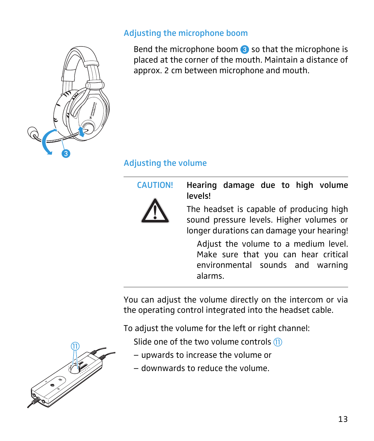#### <span id="page-13-0"></span>Adjusting the microphone boom

Bend the microphone boom  $\bullet$  so that the microphone is placed at the corner of the mouth. Maintain a distance of approx. 2 cm between microphone and mouth.

### <span id="page-13-1"></span>Adjusting the volume



CAUTION! Hearing damage due to high volume levels!

> The headset is capable of producing high sound pressure levels. Higher volumes or longer durations can damage your hearing!

Adjust the volume to a medium level. Make sure that you can hear critical environmental sounds and warning alarms.

You can adjust the volume directly on the intercom or via the operating control integrated into the headset cable.

To adjust the volume for the left or right channel:

Slide one of the two volume controls  $(n)$ 

- upwards to increase the volume or
- \_ downwards to reduce the volume.



 $\bm{6}$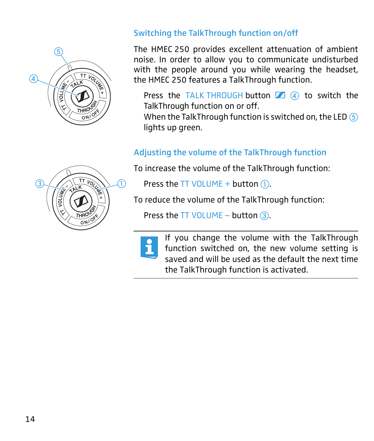

### <span id="page-14-0"></span>Switching the TalkThrough function on/off

The HMEC 250 provides excellent attenuation of ambient noise. In order to allow you to communicate undisturbed with the people around you while wearing the headset, the HMEC 250 features a TalkThrough function.

Press the TALK THROUGH button  $\boxed{4}$  (4) to switch the TalkThrough function on or off.

When the TalkThrough function is switched on, the LED  $(5)$ lights up green.

### <span id="page-14-1"></span>Adjusting the volume of the TalkThrough function

To increase the volume of the TalkThrough function:

Press the TT VOLUME + button  $(1)$ .

To reduce the volume of the TalkThrough function:

Press the TT VOLUME  $-$  button  $(3)$  $(3)$ .



If you change the volume with the TalkThrough function switched on, the new volume setting is saved and will be used as the default the next time the TalkThrough function is activated.

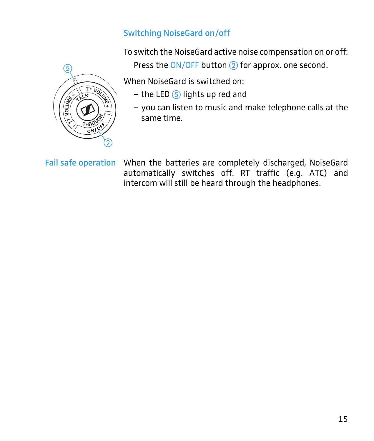### <span id="page-15-0"></span>Switching NoiseGard on/off

 $\circledS$  $\overline{\pi_{k}}$  $\circled{2}$ 

To switch the NoiseGard active noise compensation on or off:

Press the  $ON/OFF$  button  $(2)$  for approx. one second.

When NoiseGard is switched on:

- $-$  the LED  $(5)$  lights up red and
- you can listen to music and make telephone calls at the same time.

Fail safe operation When the batteries are completely discharged, NoiseGard automatically switches off. RT traffic (e.g. ATC) and intercom will still be heard through the headphones.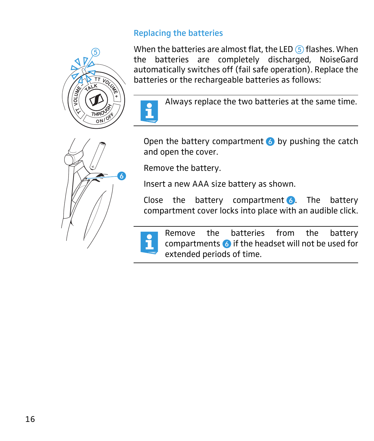### <span id="page-16-0"></span>Replacing the batteries



When the batteries are almost flat, the LED  $(5)$  flashes. When the batteries are completely discharged, NoiseGard automatically switches off (fail safe operation). Replace the batteries or the rechargeable batteries as follows:



Always replace the two batteries at the same time.

Open the battery compartment  $\bullet$  by pushing the catch and open the cover.

Remove the battery.

Insert a new AAA size battery as shown.

Close the battery compartment  $\delta$ . The battery compartment cover locks into place with an audible click.



Remove the batteries from the battery compartments & if the headset will not be used for extended periods of time.

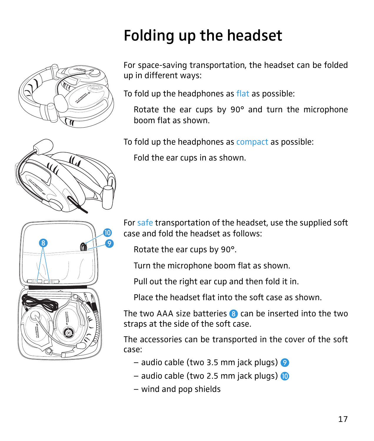<span id="page-17-0"></span>

For space-saving transportation, the headset can be folded up in different ways:

To fold up the headphones as flat as possible:

Rotate the ear cups by 90° and turn the microphone boom flat as shown.

To fold up the headphones as compact as possible:

Fold the ear cups in as shown.

For safe transportation of the headset, use the supplied soft case and fold the headset as follows:

Rotate the ear cups by 90°.

Turn the microphone boom flat as shown.

Pull out the right ear cup and then fold it in.

Place the headset flat into the soft case as shown.

The two AAA size batteries  $\bullet$  can be inserted into the two straps at the side of the soft case.

The accessories can be transported in the cover of the soft case:

- $-$  audio cable (two 3.5 mm jack plugs)  $\odot$
- $-$  audio cable (two 2.5 mm jack plugs)  $\bullet$
- wind and pop shields



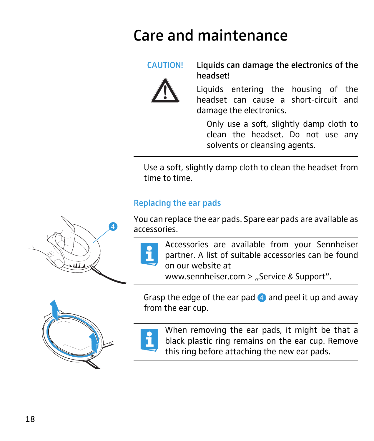### <span id="page-18-0"></span>Care and maintenance

CAUTION! Liquids can damage the electronics of the headset!

> Liquids entering the housing of the headset can cause a short-circuit and damage the electronics.

Only use a soft, slightly damp cloth to clean the headset. Do not use any solvents or cleansing agents.

Use a soft, slightly damp cloth to clean the headset from time to time.

### <span id="page-18-1"></span>Replacing the ear pads

You can replace the ear pads. Spare ear pads are available as accessories.



Accessories are available from your Sennheiser partner. A list of suitable accessories can be found on our website at

www.sennheiser.com  $>$  "Service & Support".

Grasp the edge of the ear pad  $\triangle$  and peel it up and away from the ear cup.



When removing the ear pads, it might be that a black plastic ring remains on the ear cup. Remove this ring before attaching the new ear pads.

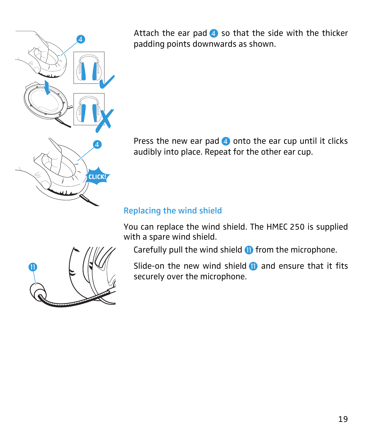

Attach the ear pad  $\bullet$  so that the side with the thicker padding points downwards as shown.

Press the new ear pad  $\overline{4}$  onto the ear cup until it clicks audibly into place. Repeat for the other ear cup.

### <span id="page-19-0"></span>Replacing the wind shield

You can replace the wind shield. The HMEC 250 is supplied with a spare wind shield.

Carefully pull the wind shield  $\mathbf{0}$  from the microphone.

Slide-on the new wind shield  $\bf{0}$  and ensure that it fits securely over the microphone.

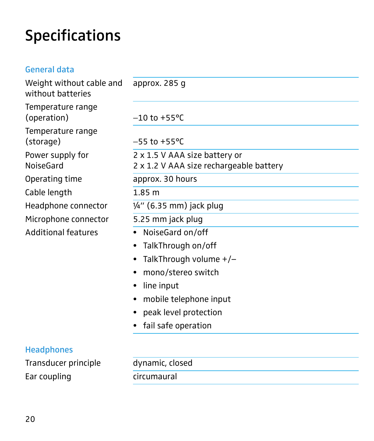### <span id="page-20-0"></span>Specifications

| <b>General data</b>                           |                                                                          |
|-----------------------------------------------|--------------------------------------------------------------------------|
| Weight without cable and<br>without batteries | approx. 285 g                                                            |
| Temperature range<br>(operation)              | $-10$ to +55 °C                                                          |
| Temperature range<br>(storage)                | $-55$ to +55 °C                                                          |
| Power supply for<br>NoiseGard                 | 2 x 1.5 V AAA size battery or<br>2 x 1.2 V AAA size rechargeable battery |
| Operating time                                | approx. 30 hours                                                         |
| Cable length                                  | 1.85 <sub>m</sub>                                                        |
| Headphone connector                           | $\frac{1}{4}$ " (6.35 mm) jack plug                                      |
| Microphone connector                          | 5.25 mm jack plug                                                        |
| <b>Additional features</b>                    | NoiseGard on/off<br>$\bullet$                                            |
|                                               | TalkThrough on/off<br>$\bullet$                                          |
|                                               | TalkThrough volume $+/-$                                                 |
|                                               | mono/stereo switch<br>٠                                                  |
|                                               | line input<br>٠                                                          |
|                                               | mobile telephone input                                                   |
|                                               | peak level protection                                                    |

**Headphones** 

Transducer principle dynamic, closed Ear coupling example are circumaural

• fail safe operation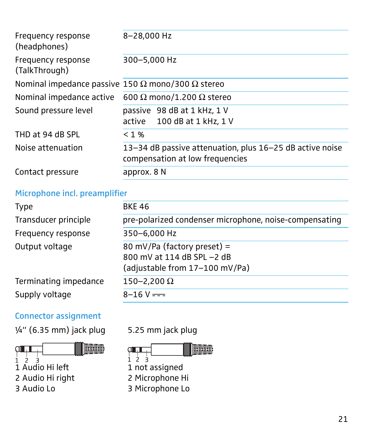| Frequency response<br>(headphones)                              | 8-28,000 Hz                                                                                 |
|-----------------------------------------------------------------|---------------------------------------------------------------------------------------------|
| Frequency response<br>(TalkThrough)                             | 300-5,000 Hz                                                                                |
| Nominal impedance passive 150 $\Omega$ mono/300 $\Omega$ stereo |                                                                                             |
| Nominal impedance active                                        | 600 $\Omega$ mono/1.200 $\Omega$ stereo                                                     |
| Sound pressure level                                            | passive 98 dB at 1 kHz, 1 V<br>active 100 dB at 1 kHz, 1 V                                  |
| THD at 94 dB SPL                                                | $< 1\%$                                                                                     |
| Noise attenuation                                               | 13-34 dB passive attenuation, plus 16-25 dB active noise<br>compensation at low frequencies |
| Contact pressure                                                | approx. 8 N                                                                                 |

### Microphone incl. preamplifier

| <b>Type</b>           | <b>BKE 46</b>                                                                               |
|-----------------------|---------------------------------------------------------------------------------------------|
| Transducer principle  | pre-polarized condenser microphone, noise-compensating                                      |
| Frequency response    | 350-6,000 Hz                                                                                |
| Output voltage        | 80 mV/Pa (factory preset) =<br>800 mV at 114 dB SPL -2 dB<br>(adjustable from 17-100 mV/Pa) |
| Terminating impedance | $150 - 2,200 \Omega$                                                                        |
| Supply voltage        | $8 - 16$ V $=$                                                                              |

### Connector assignment

 $\frac{1}{4}$  (6.35 mm) jack plug 5.25 mm jack plug



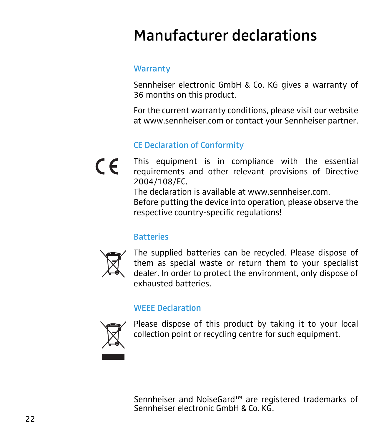### <span id="page-22-0"></span>Manufacturer declarations

### **Warranty**

Sennheiser electronic GmbH & Co. KG gives a warranty of 36 months on this product.

For the current warranty conditions, please visit our website at www.sennheiser.com or contact your Sennheiser partner.

### CE Declaration of Conformity

This equipment is in compliance with the essential  $\epsilon$ requirements and other relevant provisions of Directive 2004/108/EC.

The declaration is available at www.sennheiser.com.

Before putting the device into operation, please observe the respective country-specific regulations!

### **Batteries**



The supplied batteries can be recycled. Please dispose of them as special waste or return them to your specialist dealer. In order to protect the environment, only dispose of exhausted batteries.

#### WEEE Declaration



Please dispose of this product by taking it to your local collection point or recycling centre for such equipment.

Sennheiser and NoiseGard™ are registered trademarks of Sennheiser electronic GmbH & Co. KG.